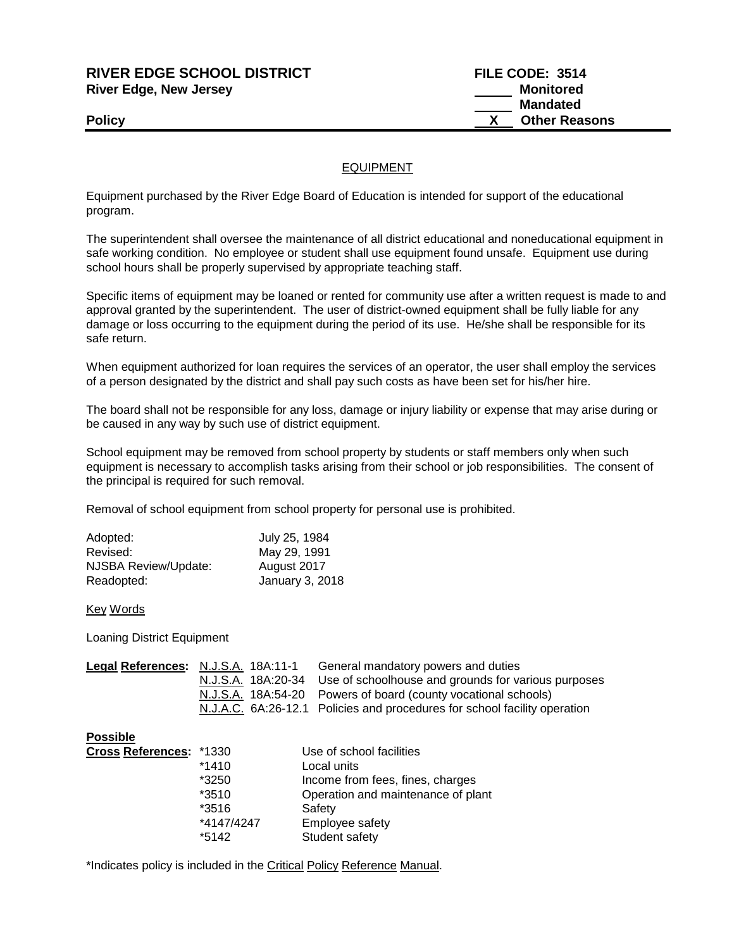**RIVER EDGE SCHOOL DISTRICT FILE CODE: 3514 River Edge, New Jersey Monitored** 

 **Mandated Policy X** Other Reasons

## EQUIPMENT

Equipment purchased by the River Edge Board of Education is intended for support of the educational program.

The superintendent shall oversee the maintenance of all district educational and noneducational equipment in safe working condition. No employee or student shall use equipment found unsafe. Equipment use during school hours shall be properly supervised by appropriate teaching staff.

Specific items of equipment may be loaned or rented for community use after a written request is made to and approval granted by the superintendent. The user of district-owned equipment shall be fully liable for any damage or loss occurring to the equipment during the period of its use. He/she shall be responsible for its safe return.

When equipment authorized for loan requires the services of an operator, the user shall employ the services of a person designated by the district and shall pay such costs as have been set for his/her hire.

The board shall not be responsible for any loss, damage or injury liability or expense that may arise during or be caused in any way by such use of district equipment.

School equipment may be removed from school property by students or staff members only when such equipment is necessary to accomplish tasks arising from their school or job responsibilities. The consent of the principal is required for such removal.

Removal of school equipment from school property for personal use is prohibited.

| Adopted:             | July 25, 1984   |
|----------------------|-----------------|
| Revised:             | May 29, 1991    |
| NJSBA Review/Update: | August 2017     |
| Readopted:           | January 3, 2018 |

## Key Words

Loaning District Equipment

|  | General mandatory powers and duties                                       |
|--|---------------------------------------------------------------------------|
|  | N.J.S.A. 18A:20-34 Use of schoolhouse and grounds for various purposes    |
|  | N.J.S.A. 18A:54-20 Powers of board (county vocational schools)            |
|  | N.J.A.C. 6A:26-12.1 Policies and procedures for school facility operation |
|  | Legal References: N.J.S.A. 18A:11-1                                       |

**Possible**

| Cross References: *1330 |            | Use of school facilities           |
|-------------------------|------------|------------------------------------|
|                         | $*1410$    | Local units                        |
|                         | *3250      | Income from fees, fines, charges   |
|                         | $*3510$    | Operation and maintenance of plant |
|                         | $*3516$    | Safety                             |
|                         | *4147/4247 | Employee safety                    |
|                         | *5142      | Student safety                     |

\*Indicates policy is included in the Critical Policy Reference Manual.